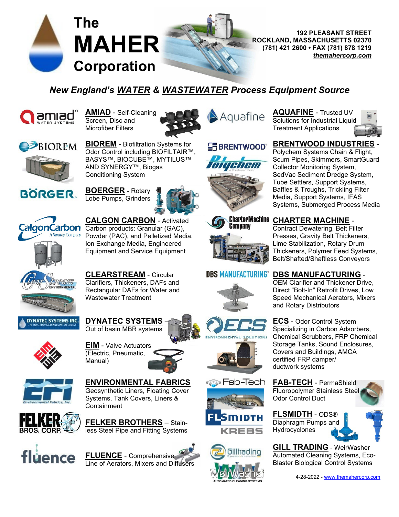

**192 PLEASANT STREET ROCKLAND, MASSACHUSETTS 02370 MAHER** ROCKLAND, MASSACHUSETTS 02370 *[themahercorp.com](http://www.themahercorp.com/)*

# *New England's [WATER](http://themahercorp.com/water.html) & [WASTEWATER](http://themahercorp.com/wastewater.html) Process Equipment Source*



**[AMIAD](http://themahercorp.com/amiad.html)** - Self-Cleaning Screen, Disc and Microfiber Filters



Aquafine

**[AQUAFINE](http://themahercorp.com/aquafine.html)** - Trusted UV Solutions for Industrial Liquid Treatment Applications





**[BIOREM](http://themahercorp.com/biorem.html)** - Biofiltration Systems for Odor Control including BIOFILTAIR™, BASYS™, BIOCUBE™, MYTILUS™ AND SYNERGY™, Biogas Conditioning System



**[BOERGER](http://themahercorp.com/boerger.html)** - Rotary Lobe Pumps, Grinders





**[CALGON CARBON](http://themahercorp.com/calgon-carbon.html)** - Activated Carbon products: Granular (GAC), Powder (PAC), and Pelletized Media. Ion Exchange Media, Engineered Equipment and Service Equipment

**[CLEARSTREAM](http://themahercorp.com/clearstream.html)** - Circular Clarifiers, Thickeners, DAFs and Rectangular DAFs for Water and Wastewater Treatment



**[DYNATEC SYSTEMS](http://themahercorp.com/dynatec-systems.html)** –

Out of basin MBR systems



**[EIM](http://themahercorp.com/eim.html)** - Valve Actuators (Electric, Pneumatic, Manual)



**[ENVIRONMENTAL FABRICS](http://themahercorp.com/efi.html)** Geosynthetic Liners, Floating Cover Systems, Tank Covers, Liners & **Containment** 



**[FELKER BROTHERS](http://themahercorp.com/felker.html)** – Stainless Steel Pipe and Fitting Systems





## $E$ F BRENTWOOD



**[BRENTWOOD INDUSTRIES](http://themahercorp.com/brentwood.html)** Polychem Systems Chain & Flight, Scum Pipes, Skimmers, SmartGuard Collector Monitoring System, SedVac Sediment Dredge System, Tube Settlers, Support Systems, Baffles & Troughs, Trickling Filter Media, Support Systems, IFAS Systems, Submerged Process Media



### **DBS MANUFACTURING"**



≽ Fab-Tech

MIDTH

**KREBS** 

Gilltrading

**LUTIONS** 



Contract Dewatering, Belt Filter Presses, Gravity Belt Thickeners, Lime Stabilization, Rotary Drum Thickeners, Polymer Feed Systems, Belt/Shafted/Shaftless Conveyors

### **[DBS MANUFACTURING](http://themahercorp.com/dbs.html)** -

OEM Clarifier and Thickener Drive, Direct "Bolt-In" Retrofit Drives, Low Speed Mechanical Aerators, Mixers and Rotary Distributors

**[ECS](http://themahercorp.com/ecs.html)** - Odor Control System Specializing in Carbon Adsorbers, Chemical Scrubbers, FRP Chemical Storage Tanks, Sound Enclosures, Covers and Buildings, AMCA certified FRP damper/ ductwork systems

**[FAB-TECH](http://themahercorp.com/fab-tech.html)** - PermaShield Fluoropolymer Stainless Steel Odor Control Duct



**[FLSMIDTH](http://themahercorp.com/flsmidth.html)** - ODS® Diaphragm Pumps and Hydrocyclones



**[GILL TRADING](http://themahercorp.com/gill-trading.html)** - WeirWasher Automated Cleaning Systems, Eco-Blaster Biological Control Systems